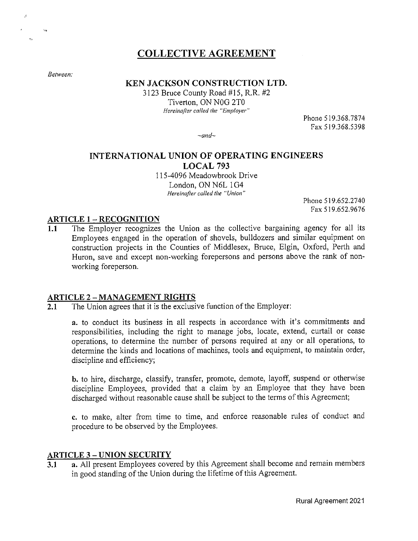# **COLLECTIVE AGREEMENT**

*Between:* 

 $\hat{\mathcal{L}}$ 

 $\mathbf{e}_2$ 

 $\overline{\mathbf{y}}_{\text{obs}}$ 

### **KEN JACKSON CONSTRUCTION LTD.**

3123 Bruce County Road #15, R.R. #2 Tiverton, ON N0G 2T0 *Hereinafter called the "Employer"* 

Phone 519.368.7874 Fax 519.368.5398

*~and~* 

# **INTERNATIONAL UNION OF OPERA TING ENGINEERS LOCAL 793**

115-4096 Meadowbrook Drive London, ON N6L 1G4 *Hereinafter called the "Union"* 

> Phone 519.652.2740 Fax 519.652.9676

#### **ARTICLE 1 - RECOGNITION**

**1.1** The Employer recognizes the Union as the collective bargaining agency for all its Employees engaged in the operation of shovels, bulldozers and similar equipment on construction projects in the Counties of Middlesex, Bruce, Elgin, Oxford, Perth and Huron, save and except non-working forepersons and persons above the rank of nonworking foreperson.

#### **ARTICLE 2** - **MANAGEMENT RIGHTS**

**2.1** The Union agrees that it is the exclusive function of the Employer:

**a.** to conduct its business in all respects in accordance with it's commitments and responsibilities, including the right to manage jobs, locate, extend, curtail or cease operations, to determine the number of persons required at any or all operations, to determine the kinds and locations of machines, tools and equipment, to maintain order, discipline and efficiency;

**b.** to hire, discharge, classify, transfer, promote, demote, layoff, suspend or otherwise discipline Employees, provided that a claim by an Employee that they have been discharged without reasonable cause shall be subject to the terms of this Agreement;

**c.** to make, alter from time to time, and enforce reasonable rules of conduct and procedure to be observed by the Employees.

#### **ARTICLE 3** - **UNION SECURITY**

**3.1 a.** All present Employees covered by this Agreement shall become and remain members in good standing of the Union during the lifetime of this Agreement.

Rural Agreement 2021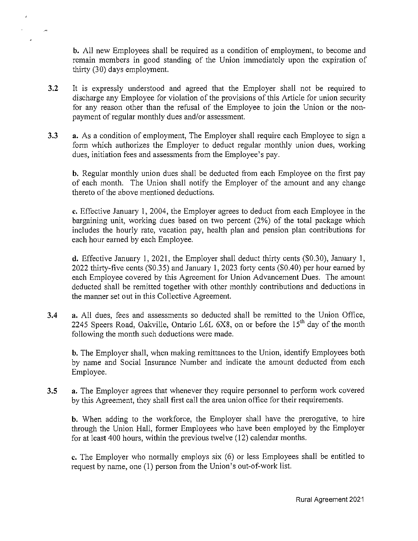**b.** All new Employees shall be required as a condition of employment, to become and remain members in good standing of the Union immediately upon the expiration of thirty (30) days employment.

- **3.2** It is expressly understood and agreed that the Employer shall not be required to discharge any Employee for violation of the provisions of this Article for union security for any reason other than the refusal of the Employee to join the Union or the nonpayment of regular monthly dues and/or assessment.
- **3.3 a.** As a condition of employment, The Employer shall require each Employee to sign a form which authorizes the Employer to deduct regular monthly union dues, working dues, initiation fees and assessments from the Employee's pay.

**b.** Regular monthly union dues shall be deducted from each Employee on the first pay of each month. The Union shall notify the Employer of the amount and any change thereto of the above mentioned deductions.

**c.** Effective January 1, 2004, the Employer agrees to deduct from each Employee in the bargaining unit, working dues based on two percent (2%) of the total package which includes the hourly rate, vacation pay, health plan and pension plan contributions for each hour earned by each Employee.

**d.** Effective January 1, 2021, the Employer shall deduct thirty cents (\$0.30), January 1, 2022 thirty-five cents (\$0.35) and January 1, 2023 forty cents (\$0.40) per hour earned by each Employee covered by this Agreement for Union Advancement Dues. The amount deducted shall be remitted together with other monthly contributions and deductions in the manner set out in this Collective Agreement.

**3.4 a.** All dues, fees and assessments so deducted shall be remitted to the Union Office, 2245 Speers Road, Oakville, Ontario L6L 6X8, on or before the 15<sup>th</sup> day of the month following the month such deductions were made.

**b.** The Employer shall, when making remittances to the Union, identify Employees both by name and Social Insurance Number and indicate the amount deducted from each Employee.

**3.5** a. The Employer agrees that whenever they require personnel to perform work covered by this Agreement, they shall first call the area union office for their requirements.

**b.** When adding to the workforce, the Employer shall have the prerogative, to hire through the Union Hall, former Employees who have been employed by the Employer for at least 400 hours, within the previous twelve (12) calendar months.

**c.** The Employer who normally employs six (6) or less Employees shall be entitled to request by name, one (1) person from the Union's out-of-work list.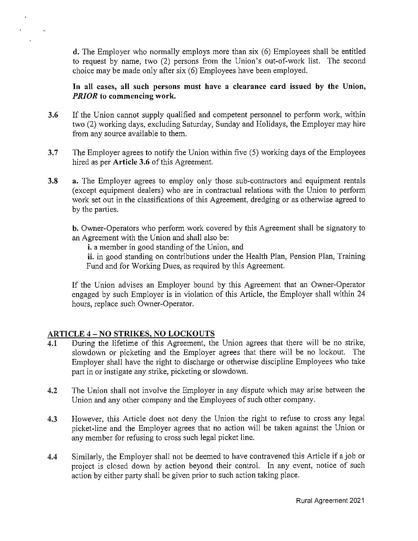**d.** The Employer who normally employs more than six (6) Employees shall be entitled to request by name, two (2) persons from the Union's out-of-work list. The second choice may be made only after six (6) Employees have been employed.

**In all cases, all such persons must have a clearance card issued by the Union,**  *PRIOR* **to commencing work.** 

- **3.6** If the Union cannot supply qualified and competent personnel to perform work, within two (2) working days, excluding Saturday, Sunday and Holidays, the Employer may hire from any source available to them.
- **3.7** The Employer agrees to notify the Union within five (5) working days of the Employees hired as per **Article 3.6** of this Agreement.
- **3.8 a.** The Employer agrees to employ only those sub-contractors and equipment rentals (except equipment dealers) who are in contractual relations with the Union to perform work set out in the classifications of this Agreement, dredging or as otherwise agreed to by the parties.

**b.** Owner-Operators who perform work covered by this Agreement shall be signatory to an Agreement with the Union and shall also be:

**i.** a member in good standing of the Union, and

**ii.** in good standing on contributions under the Health Plan, Pension Plan, Training Fund and for Working Dues, as required by this Agreement.

If the Union advises an Employer bound by this Agreement that an Owner-Operator engaged by such Employer is in violation of this Article, the Employer shall within 24 hours, replace such Owner-Operator.

# **ARTICLE 4 - NO STRIKES, NO LOCKOUTS**

- **4.1** During the lifetime of this Agreement, the Union agrees that there will be no strike, slowdown or picketing and the Employer agrees that there will be no lockout. The Employer shall have the right to discharge or otherwise discipline Employees who take part in or instigate any strike, picketing or slowdown.
- **4.2** The Union shall not involve the Employer in any dispute which may arise between the Union and any other company and the Employees of such other company.
- **4.3** However, this Article does not deny the Union the right to refuse to cross any legal picket-line and the Employer agrees that no action will be taken against the Union or any member for refusing to cross such legal picket line.
- **4.4** Similarly, the Employer shall not be deemed to have contravened this Article if a job or project is closed down by action beyond their control. In any event, notice of such action by either party shall be given prior to such action taking place.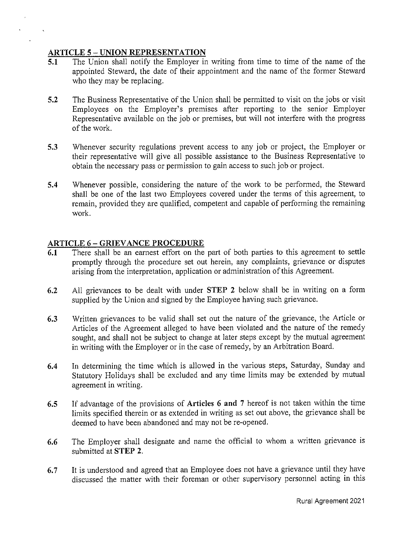### **ARTICLE 5 - UNION REPRESENTATION**

- **5.1** The Union shall notify the Employer in writing from time to time of the name of the appointed Steward, the date of their appointment and the name of the former Steward who they may be replacing.
- **5.2** The Business Representative of the Union shall be permitted to visit on the jobs or visit Employees on the Employer's premises after reporting to the senior Employer Representative available on the job or premises, but will not interfere with the progress of the work.
- **5.3** Whenever security regulations prevent access to any job or project, the Employer or their representative will give all possible assistance to the Business Representative to obtain the necessary pass or permission to gain access to such job or project.
- **5.4** Whenever possible, considering the nature of the work to be performed, the Steward shall be one of the last two Employees covered under the terms of this agreement, to remain, provided they are qualified, competent and capable of performing the remaining work.

### **ARTICLE 6 - GRIEVANCE PROCEDURE**

- **6.1** There shall be an earnest effort on the part of both parties to this agreement to settle promptly through the procedure set out herein, any complaints, grievance or disputes arising from the interpretation, application or administration of this Agreement.
- **6.2** All grievances to be dealt with under **STEP 2** below shall be in writing on a form supplied by the Union and signed by the Employee having such grievance.
- **6.3** Written grievances to be valid shall set out the nature of the grievance, the Article or Articles of the Agreement alleged to have been violated and the nature of the remedy sought, and shall not be subject to change at later steps except by the mutual agreement in writing with the Employer or in the case of remedy, by an Arbitration Board.
- **6.4** In determining the time which is allowed in the various steps, Saturday, Sunday and Statutory Holidays shall be excluded and any time limits may be extended by mutual agreement in writing.
- **6.5** If advantage of the provisions of **Articles 6 and 7** hereof is not taken within the time limits specified therein or as extended in writing as set out above, the grievance shall be deemed to have been abandoned and may not be re-opened.
- **6.6** The Employer shall designate and name the official to whom a written grievance is submitted at **STEP 2.**
- **6. 7** It is understood and agreed that an Employee does not have a grievance until they have discussed the matter with their foreman or other supervisory personnel acting in this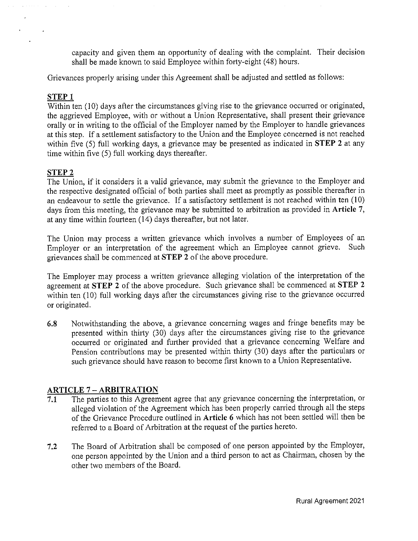capacity and given them an opportunity of dealing with the complaint. Their decision shall be made known to said Employee within forty-eight ( 48) hours.

Grievances properly arising under this Agreement shall be adjusted and settled as follows:

### **STEP 1**

 $\sim 10$ 

 $\mathbf{r}$ 

 $\overline{\text{Within}}$  ten (10) days after the circumstances giving rise to the grievance occurred or originated, the aggrieved Employee, with or without a Union Representative, shall present their grievance orally or in writing to the official of the Employer named by the Employer to handle grievances at this step. If a settlement satisfactory to the Union and the Employee concerned is not reached within five (5) full working days, a grievance may be presented as indicated in **STEP 2** at any time within five (5) full working days thereafter.

# **STEP2**

The Union, if it considers it a valid grievance, may submit the grievance to the Employer and the respective designated official of both parties shall meet as promptly as possible thereafter in an endeavour to settle the grievance. If a satisfactory settlement is not reached within ten  $(10)$ days from this meeting, the grievance may be submitted to arbitration as provided in **Article** 7, at any time within fourteen (14) days thereafter, but not later.

The Union may process a written grievance which involves a number of Employees of an Employer or an interpretation of the agreement which an Employee cannot grieve. Such grievances shall be commenced at **STEP 2** of the above procedure.

The Employer may process a written grievance alleging violation of the interpretation of the agreement at **STEP 2** of the above procedure. Such grievance shall be commenced at **STEP 2**  within ten (10) full working days after the circumstances giving rise to the grievance occurred or originated.

**6.8** Notwithstanding the above, a grievance concerning wages and fringe benefits may be presented within thirty (30) days after the circumstances giving rise to the grievance occurred or originated and further provided that a grievance concerning Welfare and Pension contributions may be presented within thirty (30) days after the particulars or such grievance should have reason to become first known to a Union Representative.

# **ARTICLE** 7 - **ARBITRATION**

- **7.1** The parties to this Agreement agree that any grievance concerning the interpretation, or alleged violation of the Agreement which has been properly carried through all the steps of the Grievance Procedure outlined in **Article 6** which has not been settled will then be referred to a Board of Arbitration at the request of the parties hereto.
- **7.2** The Board of Arbitration shall be composed of one person appointed by the Employer, one person appointed by the Union and a third person to act as Chairman, chosen by the other two members of the Board.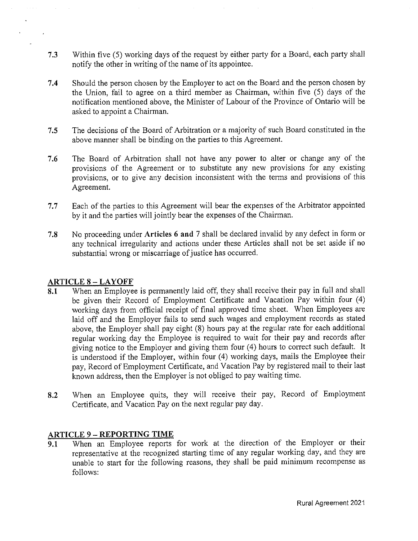- **7.3** Within five (5) working days of the request by either party for a Board, each party shall notify the other in writing of the name of its appointee.
- **7.4** Should the person chosen by the Employer to act on the Board and the person chosen by the Union, fail to agree on a third member as Chairman, within five (5) days of the notification mentioned above, the Minister of Labour of the Province of Ontario will be asked to appoint a Chairman.
- **7.5** The decisions of the Board of Arbitration or a majority of such Board constituted in the above manner shall be binding on the parties to this Agreement.
- **7.6** The Board of Arbitration shall not have any power to alter or change any of the provisions of the Agreement or to substitute any new provisions for any existing provisions, or to give any decision inconsistent with the terms and provisions of this Agreement.
- 7.7 Each of the parties to this Agreement will bear the expenses of the Arbitrator appointed by it and the parties will jointly bear the expenses of the Chairman.
- **7.8** No proceeding under **Articles 6 and** 7 shall be declared invalid by any defect in form or any technical irregularity and actions under these Articles shall not be set aside if no substantial wrong or miscarriage of justice has occurred.

# **ARTICLE 8 - LAYOFF**

- **8.1** When an Employee is permanently laid off, they shall receive their pay in full and shall be given their Record of Employment Certificate and Vacation Pay within four (4) working days from official receipt of final approved time sheet. When Employees are laid off and the Employer fails to send such wages and employment records as stated above, the Employer shall pay eight (8) hours pay at the regular rate for each additional regular working day the Employee is required to wait for their pay and records after giving notice to the Employer and giving them four (4) hours to correct such default. It is understood if the Employer, within four (4) working days, mails the Employee their pay, Record of Employment Certificate, and Vacation Pay by registered mail to their last known address, then the Employer is not obliged to pay waiting time.
- **8.2** When an Employee quits, they will receive their pay, Record of Employment Certificate, and Vacation Pay on the next regular pay day.

# **ARTICLE 9 - REPORTING TIME**

**9.1** When an Employee reports for work at the direction of the Employer or their representative at the recognized starting time of any regular working day, and they are unable to start for the following reasons, they shall be paid minimum recompense as follows: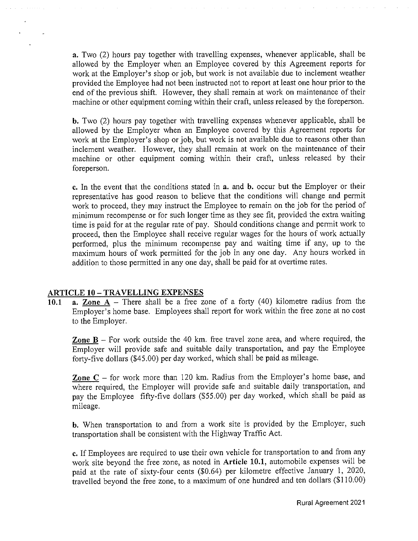**a.** Two (2) hours pay together with travelling expenses, whenever applicable, shall be allowed by the Employer when an Employee covered by this Agreement reports for work at the Employer's shop or job, but work is not available due to inclement weather provided the Employee had not been instructed not to report at least one hour prior to the end of the previous shift. However, they shall remain at work on maintenance of their machine or other equipment coming within their craft, unless released by the foreperson.

**b.** Two (2) hours pay together with travelling expenses whenever applicable, shall be allowed by the Employer when an Employee covered by this Agreement reports for work at the Employer's shop or job, but work is not available due to reasons other than inclement weather. However, they shall remain at work on the maintenance of their machine or other equipment coming within their craft, unless released by their foreperson.

**c.** In the event that the conditions stated in **a.** and **b.** occur but the Employer or their representative has good reason to believe that the conditions will change and permit work to proceed, they may instruct the Employee to remain on the job for the period of minimum recompense or for such longer time as they see fit, provided the extra waiting time is paid for at the regular rate of pay. Should conditions change and permit work to proceed, then the Employee shall receive regular wages for the hours of work actually performed, plus the minimum recompense pay and waiting time if any, up to the maximum hours of work permitted for the job in any one day. Any hours worked in addition to those permitted in any one day, shall be paid for at overtime rates.

#### **ARTICLE 10 -TRA YELLING EXPENSES**

10.1 **a. Zone A** – There shall be a free zone of a forty  $(40)$  kilometre radius from the Employer's home base. Employees shall report for work within the free zone at no cost to the Employer.

**Zone B** - For work outside the 40 km. free travel zone area, and where required, the Employer will provide safe and suitable daily transportation, and pay the Employee forty-five dollars (\$45.00) per day worked, which shall be paid as mileage.

**Zone C** – for work more than 120 km. Radius from the Employer's home base, and where required, the Employer will provide safe and suitable daily transportation, and pay the Employee fifty-five dollars (\$55.00) per day worked, which shall be paid as mileage.

**b.** When transportation to and from a work site is provided by the Employer, such transportation shall be consistent with the Highway Traffic Act.

**c.** If Employees are required to use their own vehicle for transportation to and from any work site beyond the free zone, as noted in **Article 10.1,** automobile expenses will be paid at the rate of sixty-four cents (\$0.64) per kilometre effective January I, 2020, travelled beyond the free zone, to a maximum of one hundred and ten dollars (\$110.00)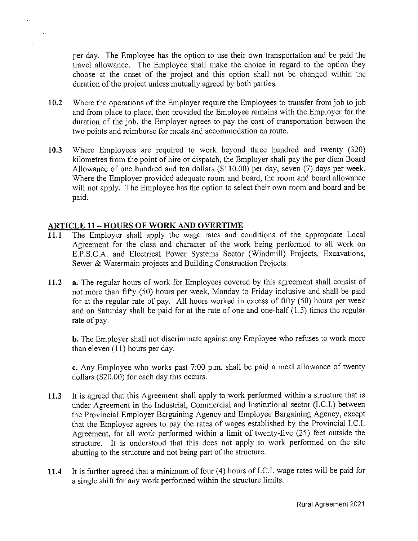per day. The Employee has the option to use their own transportation and be paid the travel allowance. The Employee shall make the choice in regard to the option they choose at the onset of the project and this option shall not be changed within the duration of the project unless mutually agreed by both parties.

- **10.2** Where the operations of the Employer require the Employees to transfer from job to job and from place to place, then provided the Employee remains with the Employer for the duration of the job, the Employer agrees to pay the cost of transportation between the two points and reimburse for meals and accommodation en route.
- **10.3** Where Employees are required to work beyond three hundred and twenty (320) kilometres from the point of hire or dispatch, the Employer shall pay the per diem Board Allowance of one hundred and ten dollars (\$110.00) per day, seven (7) days per week. Where the Employer provided adequate room and board, the room and board allowance will not apply. The Employee has the option to select their own room and board and be paid.

### **ARTICLE 11 - HOURS OF WORK AND OVERTIME**

- **11.1** The Employer shall apply the wage rates and conditions of the appropriate Local Agreement for the class and character of the work being performed to all work on E.P.S.C.A. and Electrical Power Systems Sector (Windmill) Projects, Excavations, Sewer & Watermain projects and Building Construction Projects.
- **11.2 a.** The regular hours of work for Employees covered by this agreement shall consist of not more than fifty (50) hours per week, Monday to Friday inclusive and shall be paid for at the regular rate of pay. All hours worked in excess of fifty (50) hours per week and on Saturday shall be paid for at the rate of one and one-half (1.5) times the regular rate of pay.

**b.** The Employer shall not discriminate against any Employee who refuses to work more than eleven (11) hours per day.

**c.** Any Employee who works past 7:00 p.m. shall be paid a meal allowance of twenty dollars (\$20.00) for each day this occurs.

- **11.3** It is agreed that this Agreement shall apply to work performed within a structure that is under Agreement in the Industrial, Commercial and Institutional sector (LC.I.) between the Provincial Employer Bargaining Agency and Employee Bargaining Agency, except that the Employer agrees to pay the rates of wages established by the Provincial LC.I. Agreement, for all work performed within a limit of twenty-five (25) feet outside the structure. It is understood that this does not apply to work performed on the site abutting to the structure and not being part of the structure.
- 11.4 It is further agreed that a minimum of four (4) hours of I.C.I. wage rates will be paid for a single shift for any work performed within the structure limits.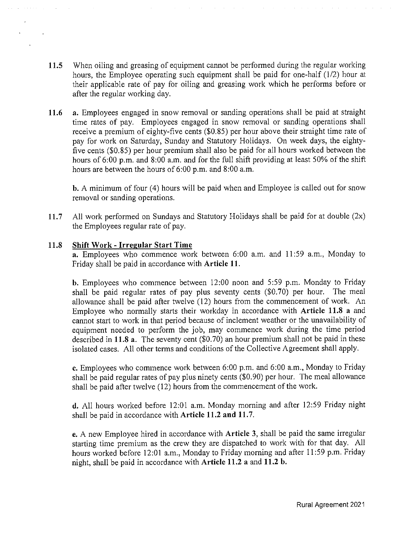- **11.5** When oiling and greasing of equipment cannot be performed during the regular working hours, the Employee operating such equipment shall be paid for one-half (1/2) hour at their applicable rate of pay for oiling and greasing work which he performs before or after the regular working day.
- **11.6 a.** Employees engaged in snow removal or sanding operations shall be paid at straight time rates of pay. Employees engaged in snow removal or sanding operations shall receive a premium of eighty-five cents (\$0.85) per hour above their straight time rate of pay for work on Saturday, Sunday and Statutory Holidays. On week days, the eightyfive cents (\$0.85) per hour premium shall also be paid for all hours worked between the hours of 6:00 p.m. and 8:00 a.m. and for the full shift providing at least 50% of the shift hours are between the hours of  $6:00$  p.m. and  $8:00$  a.m.

**b.** A minimum of four (4) hours will be paid when and Employee is called out for snow removal or sanding operations.

**11.7** All work performed on Sundays and Statutory Holidays shall be paid for at double (2x) the Employees regular rate of pay.

#### **11.8 Shift Work - Irregular Start Time**

**a.** Employees who commence work between 6:00 a.m. and 11 :59 a.m., Monday to Friday shall be paid in accordance with **Article 11.** 

**b.** Employees who commence between 12:00 noon and 5:59 p.m. Monday to Friday shall be paid regular rates of pay plus seventy cents (\$0. 70) per hour. The meal allowance shall be paid after twelve (12) hours from the commencement of work. An Employee who normally starts their workday in accordance with **Article 11.8 a** and cannot start to work in that period because of inclement weather or the unavailability of equipment needed to perform the job, may commence work during the time period described in **11.8 a.** The seventy cent (\$0.70) an hour premium shall not be paid in these isolated cases. All other terms and conditions of the Collective Agreement shall apply.

**c.** Employees who commence work between 6:00 p.m. and 6:00 a.m., Monday to Friday shall be paid regular rates of pay plus ninety cents (\$0.90) per hour. The meal allowance shall be paid after twelve (12) hours from the commencement of the work.

**d.** All hours worked before 12:01 a.m. Monday morning and after 12:59 Friday night shall be paid in accordance with **Article 11.2 and 11.7.** 

**e.** A new Employee hired in accordance with **Article 3,** shall be paid the same irregular starting time premium as the crew they are dispatched to work with for that day. All hours worked before 12:01 a.m., Monday to Friday morning and after 11 :59 p.m. Friday night, shall be paid in accordance with **Article 11.2 a** and **11.2 b.**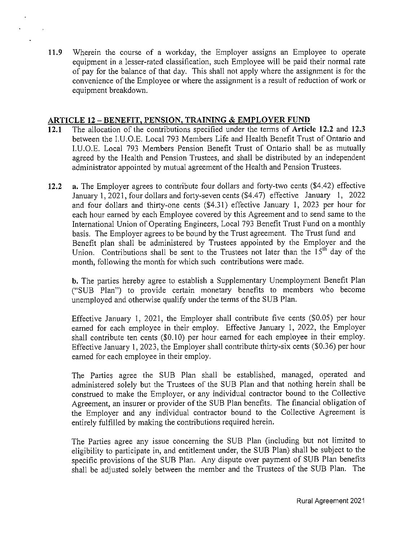**11.9** Wherein the course of a workday, the Employer assigns an Employee to operate equipment in a lesser-rated classification, such Employee will be paid their normal rate of pay for the balance of that day. This shall not apply where the assignment is for the convenience of the Employee or where the assignment is a result of reduction of work or equipment breakdown.

### **ARTICLE 12 - BENEFIT, PENSION, TRAINING & EMPLOYER FUND**

- **12.1** The allocation of the contributions specified under the terms of **Article 12.2** and **12.3**  between the l.U.O.E. Local 793 Members Life and Health Benefit Trust of Ontario and l.U.O.E. Local 793 Members Pension Benefit Trust of Ontario shall be as mutually agreed by the Health and Pension Trustees, and shall be distributed by an independent administrator appointed by mutual agreement of the Health and Pension Trustees.
- **12.2** a. The Employer agrees to contribute four dollars and forty-two cents (\$4.42) effective January 1, 2021, four dollars and forty-seven cents (\$4.47) effective January 1, 2022 and four dollars and thirty-one cents  $(\$4.31)$  effective January 1, 2023 per hour for each hour earned by each Employee covered by this Agreement and to send same to the International Union of Operating Engineers, Local 793 Benefit Trust Fund on a monthly basis. The Employer agrees to be bound by the Trust agreement. The Trust fund and Benefit plan shall be administered by Trustees appointed by the Employer and the Union. Contributions shall be sent to the Trustees not later than the  $15<sup>th</sup>$  day of the month, following the month for which such contributions were made.

**b.** The parties hereby agree to establish a Supplementary Unemployment Benefit Plan ("SUB Plan") to provide certain monetary benefits to members who become unemployed and otherwise qualify under the terms of the SUB Plan.

Effective January I, 2021, the Employer shall contribute five cents (\$0.05) per hour earned for each employee in their employ. Effective January I, 2022, the Employer shall contribute ten cents (\$0.10) per hour earned for each employee in their employ. Effective January I, 2023, the Employer shall contribute thirty-six cents (\$0.36) per hour earned for each employee in their employ.

The Parties agree the SUB Plan shall be established, managed, operated and administered solely but the Trustees of the SUB Plan and that nothing herein shall be construed to make the Employer, or any individual contractor bound to the Collective Agreement, an insurer or provider of the SUB Plan benefits. The financial obligation of the Employer and any individual contractor bound to the Collective Agreement is entirely fulfilled by making the contributions required herein.

The Parties agree any issue concerning the SUB Plan (including but not limited to eligibility to participate in, and entitlement under, the SUB Plan) shall be subject to the specific provisions of the SUB Plan. Any dispute over payment of SUB Plan benefits shall be adjusted solely between the member and the Trustees of the SUB Plan. The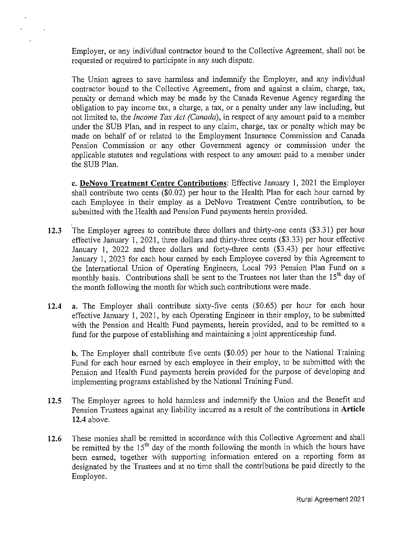Employer, or any individual contractor bound to the Collective Agreement, shall not be requested or required to participate in any such dispute.

The Union agrees to save harmless and indemnify the Employer, and any individual contractor bound to the Collective Agreement, from and against a claim, charge, tax, penalty or demand which may be made by the Canada Revenue Agency regarding the obligation to pay income tax, a charge, a tax, or a penalty under any law including, but not limited to, the *Income Tax Act (Canada),* in respect of any amount paid to a member under the SUB Plan, and in respect to any claim, charge, tax or penalty which may be made on behalf of or related to the Employment Insurance Commission and Canada Pension Commission or any other Government agency or commission under the applicable statutes and regulations with respect to any amount paid to a member under the SUB Plan.

**c. DeNovo Treatment Centre Contributions:** Effective January 1, 2021 the Employer shall contribute two cents (\$0.02) per hour to the Health Plan for each hour earned by each Employee in their employ as a DeNovo Treatment Centre contribution, to be submitted with the Health and Pension Fund payments herein provided.

- **12.3** The Employer agrees to contribute three dollars and thirty-one cents (\$3.31) per hour effective January 1, 2021, three dollars and thirty-three cents (\$3.33) per hour effective January 1, 2022 and three dollars and forty-three cents (\$3.43) per hour effective January 1, 2023 for each hour earned by each Employee covered by this Agreement to the International Union of Operating Engineers, Local 793 Pension Plan Fund on a monthly basis. Contributions shall be sent to the Trustees not later than the 15<sup>th</sup> day of the month following the month for which such contributions were made.
- **12.4 a.** The Employer shall contribute sixty-five cents (\$0.65) per hour for each hour effective January 1, 2021, by each Operating Engineer in their employ, to be submitted with the Pension and Health Fund payments, herein provided, and to be remitted to a fund for the purpose of establishing and maintaining a joint apprenticeship fund.

**b.** The Employer shall contribute five cents (\$0.05) per hour to the National Training Fund for each hour earned by each employee in their employ, to be submitted with the Pension and Health Fund payments herein provided for the purpose of developing and implementing programs established by the National Training Fund.

- **12.5** The Employer agrees to hold harmless and indemnify the Union and the Benefit and Pension Trustees against any liability incurred as a result of the contributions in **Article 12.4** above.
- **12.6** These monies shall be remitted in accordance with this Collective Agreement and shall be remitted by the  $15<sup>th</sup>$  day of the month following the month in which the hours have been earned, together with supporting information entered on a reporting form as designated by the Trustees and at no time shall the contributions be paid directly to the Employee.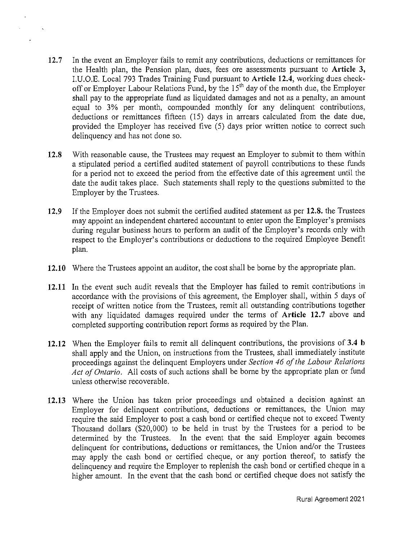**12.7** In the event an Employer fails to remit any contributions, deductions or remittances for the Health plan, the Pension plan, dues, fees ore assessments pursuant to **Article 3,**  1.U.O.E. Local 793 Trades Training Fund pursuant to **Article 12.4,** working dues checkoff or Employer Labour Relations Fund, by the 15<sup>th</sup> day of the month due, the Employer shall pay to the appropriate fund as liquidated damages and not as a penalty, an amount equal to 3% per month, compounded monthly for any delinquent contributions, deductions or remittances fifteen (15) days in arrears calculated from the date due, provided the Employer has received five (5) days prior written notice to correct such delinquency and has not done so.

 $\mathbf{r}_\mathrm{c}$ 

- **12.8** With reasonable cause, the Trustees may request an Employer to submit to them within a stipulated period a certified audited statement of payroll contributions to these funds for a period not to exceed the period from the effective date of this agreement until the date the audit takes place. Such statements shall reply to the questions submitted to the Employer by the Trustees.
- **12.9** If the Employer does not submit the certified audited statement as per **12.8.** the Trustees may appoint an independent chartered accountant to enter upon the Employer's premises during regular business hours to perform an audit of the Employer's records only with respect to the Employer's contributions or deductions to the required Employee Benefit plan.
- **12.10** Where the Trustees appoint an auditor, the cost shall be borne by the appropriate plan.
- **12.11** In the event such audit reveals that the Employer has failed to remit contributions in accordance with the provisions of this agreement, the Employer shall, within 5 days of receipt of written notice from the Trustees, remit all outstanding contributions together with any liquidated damages required under the terms of **Article 12.7** above and completed supporting contribution report forms as required by the Plan.
- **12.12** When the Employer fails to remit all delinquent contributions, the provisions of **3.4 b**  shall apply and the Union, on instructions from the Trustees, shall immediately institute proceedings against the delinquent Employers under *Section 46 of the Labour Relations Act of Ontario.* All costs of such actions shall be borne by the appropriate plan or fund unless otherwise recoverable.
- **12.13** Where the Union has taken prior proceedings and obtained a decision against an Employer for delinquent contributions, deductions or remittances, the Union may require the said Employer to post a cash bond or certified cheque not to exceed Twenty Thousand dollars (\$20,000) to be held in trust by the Trustees for a period to be determined by the Trustees. In the event that the said Employer again becomes delinquent for contributions, deductions or remittances, the Union and/or the Trustees may apply the cash bond or certified cheque, or any portion thereof, to satisfy the delinquency and require the Employer to replenish the cash bond or certified cheque in a higher amount. In the event that the cash bond or certified cheque does not satisfy the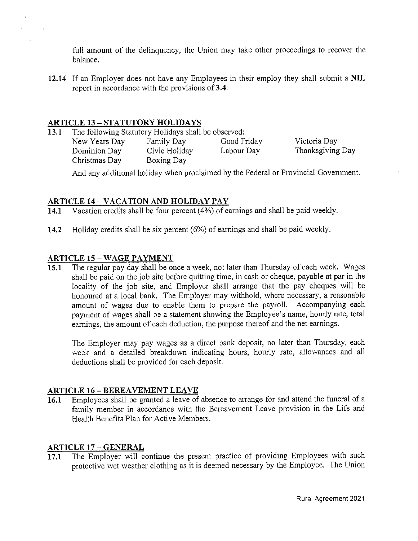full amount of the delinquency, the Union may take other proceedings to recover the balance.

**12.14** If an Employer does not have any Employees in their employ they shall submit a **NIL**  report in accordance with the provisions of **3.4.** 

# **ARTICLE 13-STATUTORY HOLIDAYS**

**13.1** The following Statutory Holidays shall be observed:

Dominion Day Civic Holiday Labour Day Christmas Day Boxing Day

New Years Day Family Day Good Friday

Victoria Day Thanksgiving Day

And any additional holiday when proclaimed by the Federal or Provincial Government.

# **ARTICLE 14-VACATION AND HOLIDAY PAY**

**14.1** Vacation credits shall be four percent (4%) of earnings and shall be paid weekly.

**14.2** Holiday credits shall be six percent (6%) of earnings and shall be paid weekly.

# **ARTICLE IS-WAGE PAYMENT**

**IS.I** The regular pay day shall be once a week, not later than Thursday of each week. Wages shall be paid on the job site before quitting time, in cash or cheque, payable at par in the locality of the job site, and Employer shall arrange that the pay cheques will be honoured at a local bank. The Employer may withhold, where necessary, a reasonable amount of wages due to enable them to prepare the payroll. Accompanying each payment of wages shall be a statement showing the Employee's name, hourly rate, total earnings, the amount of each deduction, the purpose thereof and the net earnings.

The Employer may pay wages as a direct bank deposit, no later than Thursday, each week and a detailed breakdown indicating hours, hourly rate, allowances and all deductions shall be provided for each deposit.

# **ARTICLE 16 - BEREAVEMENT LEAVE**

**16.1** Employees shall be granted a leave of absence to arrange for and attend the funeral of a family member in accordance with the Bereavement Leave provision in the Life and Health Benefits Plan for Active Members.

# **ARTICLE 17 - GENERAL**

**17.1** The Employer will continue the present practice of providing Employees with such protective wet weather clothing as it is deemed necessary by the Employee. The Union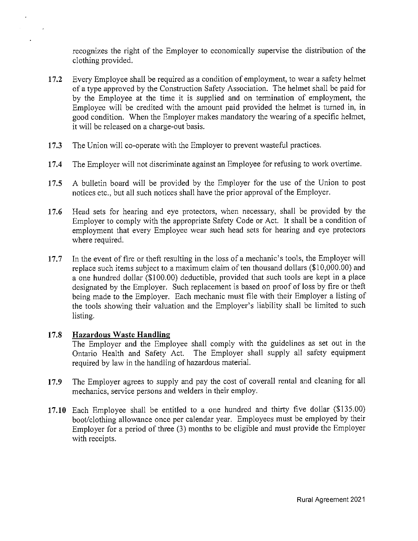recognizes the right of the Employer to economically supervise the distribution of the clothing provided.

- **17.2** Every Employee shall be required as a condition of employment, to wear a safety helmet of a type approved by the Construction Safety Association. The helmet shall be paid for by the Employee at the time it is supplied and on termination of employment, the Employee will be credited with the amount paid provided the helmet is turned in, in good condition. When the Employer makes mandatory the wearing of a specific helmet, it will be released on a charge-out basis.
- **17.3** The Union will co-operate with the Employer to prevent wasteful practices.
- **17.4** The Employer will not discriminate against an Employee for refusing to work overtime.
- **17.5** A bulletin board will be provided by the Employer for the use of the Union to post notices etc., but all such notices shall have the prior approval of the Employer.
- **17.6** Head sets for hearing and eye protectors, when necessary, shall be provided by the Employer to comply with the appropriate Safety Code or Act. It shall be a condition of employment that every Employee wear such head sets for hearing and eye protectors where required.
- 17.7 In the event of fire or theft resulting in the loss of a mechanic's tools, the Employer will replace such items subject to a maximum claim of ten thousand dollars (\$10,000.00) and a one hundred dollar (\$100.00) deductible, provided that such tools are kept in a place designated by the Employer. Such replacement is based on proof of loss by fire or theft being made to the Employer. Each mechanic must file with their Employer a listing of the tools showing their valuation and the Employer's liability shall be limited to such listing.

### **17.8 Hazardous Waste Handling**

The Employer and the Employee shall comply with the guidelines as set out in the Ontario Health and Safety Act. The Employer shall supply all safety equipment required by law in the handling of hazardous material.

- **17.9** The Employer agrees to supply and pay the cost of coverall rental and cleaning for all mechanics, service persons and welders in their employ.
- 17.10 Each Employee shall be entitled to a one hundred and thirty five dollar (\$135.00) boot/clothing allowance once per calendar year. Employees must be employed by their Employer for a period of three (3) months to be eligible and must provide the Employer with receipts.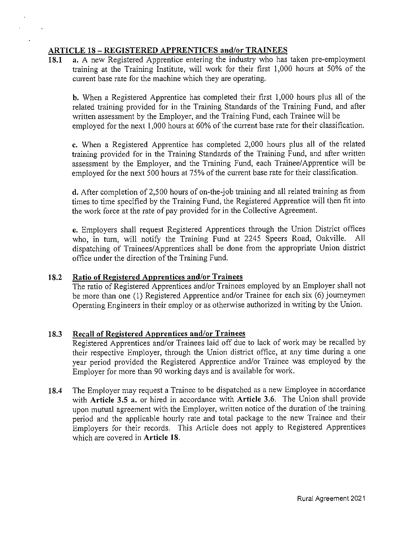## **ARTICLE 18 - REGISTERED APPRENTICES and/or TRAINEES**

**18.1 a.** A new Registered Apprentice entering the industry who has taken pre-employment training at the Training Institute, will work for their first 1,000 hours at 50% of the current base rate for the machine which they are operating.

**b.** When a Registered Apprentice has completed their first 1,000 hours plus all of the related training provided for in the Training Standards of the Training Fund, and after written assessment by the Employer, and the Training Fund, each Trainee will be employed for the next 1,000 hours at 60% of the current base rate for their classification.

**c.** When a Registered Apprentice has completed 2,000 hours plus all of the related training provided for in the Training Standards of the Training Fund, and after written assessment by the Employer, and the Training Fund, each Trainee/ Apprentice will be employed for the next 500 hours at 75% of the current base rate for their classification.

**d.** After completion of2,500 hours of on-the-job training and all related training as from times to time specified by the Training Fund, the Registered Apprentice will then fit into the work force at the rate of pay provided for in the Collective Agreement.

**e.** Employers shall request Registered Apprentices through the Union District offices who, in turn, will notify the Training Fund at 2245 Speers Road, Oakville. All dispatching of Trainees/Apprentices shall be done from the appropriate Union district office under the direction of the Training Fund.

# **18.2 Ratio of Registered Apprentices and/or Trainees**

The ratio of Registered Apprentices and/or Trainees employed by an Employer shall not be more than one (I) Registered Apprentice and/or Trainee for each six (6) journeymen Operating Engineers in their employ or as otherwise authorized in writing by the Union.

# **18.3 Recall of Registered Apprentices and/or Trainees**

Registered Apprentices and/or Trainees laid off due to lack of work may be recalled by their respective Employer, through the Union district office, at any time during a one year period provided the Registered Apprentice and/or Trainee was employed by the Employer for more than 90 working days and is available for work.

**18.4** The Employer may request a Trainee to be dispatched as a new Employee in accordance with **Article 3.5 a.** or hired in accordance with **Article 3.6.** The Union shall provide upon mutual agreement with the Employer, written notice of the duration of the training period and the applicable hourly rate and total package to the new Trainee and their Employers for their records. This Article does not apply to Registered Apprentices which are covered in **Article 18.**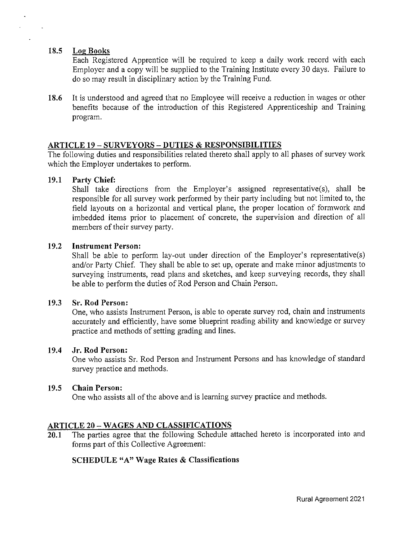### **18.5 Log Books**

Each Registered Apprentice will be required to keep a daily work record with each Employer and a copy will be supplied to the Training Institute every 30 days. Failure to do so may result in disciplinary action by the Training Fund.

**18.6** It is understood and agreed that no Employee will receive a reduction in wages or other benefits because of the introduction of this Registered Apprenticeship and Training program.

### **ARTICLE 19 - SURVEYORS - DUTIES & RESPONSIBILITIES**

The following duties and responsibilities related thereto shall apply to all phases of survey work which the Employer undertakes to perform.

### **19.1 Party Chief:**

Shall take directions from the Employer's assigned representative(s), shall be responsible for all survey work performed by their party including but not limited to, the field layouts on a horizontal and vertical plane, the proper location of formwork and imbedded items prior to placement of concrete, the supervision and direction of all members of their survey party.

### **19.2 Instrument Person:**

Shall be able to perform lay-out under direction of the Employer's representative(s) and/or Patiy Chief. They shall be able to set up, operate and make minor adjustments to surveying instruments, read plans and sketches, and keep surveying records, they shall be able to perform the duties of Rod Person and Chain Person.

### **19.3 Sr. Rod Person:**

One, who assists Instrument Person, is able to operate survey rod, chain and instruments accurately and efficiently, have some blueprint reading ability and knowledge or survey practice and methods of setting grading and lines.

### **19.4 Jr. Rod Person:**

One who assists Sr. Rod Person and Instrument Persons and has knowledge of standard survey practice and methods.

### **19.5 Chain Person:**

One who assists all of the above and is learning survey practice and methods.

# **ARTICLE 20- WAGES AND CLASSIFICATIONS**

**20.1** The parties agree that the following Schedule attached hereto is incorporated into and forms part of this Collective Agreement:

# **SCHEDULE "A" Wage Rates & Classifications**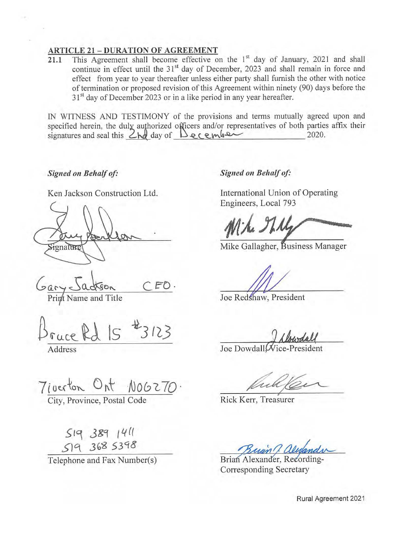### **ARTICLE 21** - **DURATION OF AGREEMENT**

**21.1** This Agreement shall become effective on the 1<sup>st</sup> day of January, 2021 and shall continue in effect until the 31<sup>st</sup> day of December, 2023 and shall remain in force and effect from year to year thereafter unless either party shall furnish the other with notice of termination or proposed revision of this Agreement within ninety (90) days before the 31<sup>st</sup> day of December 2023 or in a like period in any year hereafter.

IN WITNESS AND TESTIMONY of the provisions and terms mutually agreed upon and specified herein, the duly authorized officers and/or representatives of both parties affix their signatures and seal this  $2hd$  day of  $Decemb$ .

### *Signed on Behalf of:*

Ken Jackson Construction Ltd.

ignature

 $FO.$ 

Print Name and Title

 $3123$ 

Address

**Signed on Behalf of:** 

International Union of Operating Engineers, Local 793

Mike Gallagher, Business Manager

Joe Redshaw, President

Joe Dowdall Wice-President

**J,** 

Rick Kerr, Treasurer

Brian Alexander, Recording-Corresponding Secretary

Rural Agreement 2021

 $7$ *i* oerton Ont N00270.

City, Province, Postal Code

 $S193891411$ S-Jq J{,~ *53'18* 

Telephone and Fax Number(s)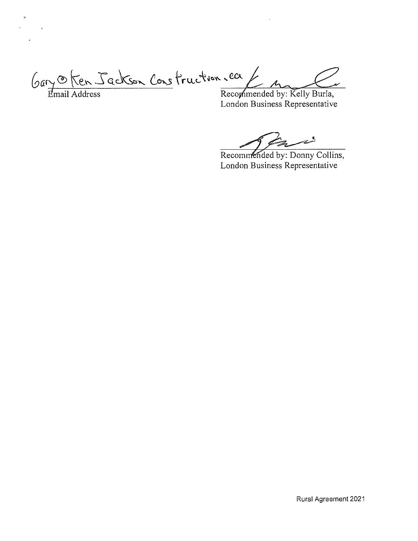$\mathcal{G}$ ary <del>O</del> Ken Jackson Construction . ea  $\mathcal{L}$  m  $\mathcal{L}$ 

 $\ddot{\phantom{0}}$ 

 $\sim 10$ 

Email Address **Recommended by: Kelly Burla**, London Business Representative

Recommended by: Donny Collins, London Business Representative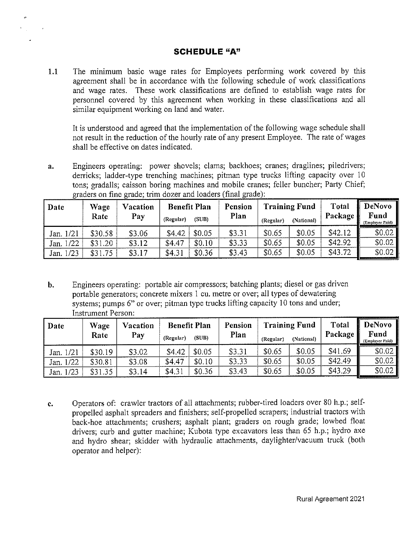# **SCHEDULE "A"**

**1.1** The minimum basic wage rates for Employees performing work covered by this agreement shall be in accordance with the following schedule of work classifications and wage rates. These work classifications are defined to establish wage rates for personnel covered by this agreement when working in these classifications and all similar equipment working on land and water.

It is understood and agreed that the implementation of the following wage schedule shall not result in the reduction of the hourly rate of any present Employee. The rate of wages shall be effective on dates indicated.

a. Engineers operating: power shovels; clams; backhoes; cranes; draglines; piledrivers; derricks; ladder-type trenching machines; pitman type trucks lifting capacity over 10 tons; gradalls; caisson boring machines and mobile cranes; feller buncher; Party Chief; graders on fine grade; trim dozer and loaders (final grade):

| Date         | Wage<br>Rate | Vacation<br>Pay | (Regular) | <b>Benefit Plan</b><br>(SUB) | Pension<br>Plan | (Regular) | <b>Training Fund</b><br>(National) | Total<br>Package | DeNovo<br>Fund<br>(Employer Paid) |
|--------------|--------------|-----------------|-----------|------------------------------|-----------------|-----------|------------------------------------|------------------|-----------------------------------|
| 1/21<br>Jan. | \$30.58      | \$3.06          | \$4.42    | \$0.05                       | \$3.31          | \$0.65    | \$0.05                             | \$42.12          | \$0.02                            |
| 1/22<br>Jan. | \$31.20      | \$3.12          | \$4.47    | \$0.10                       | \$3.33          | \$0.65    | \$0.05                             | \$42.92          | \$0.02                            |
| /23<br>Jan.  | \$31.75      | \$3.17          | \$4.31    | \$0.36                       | \$3.43          | \$0.65    | \$0.05                             | \$43.72          | \$0.02                            |

**b.** Engineers operating: portable air compressors; batching plants; diesel or gas driven portable generators; concrete mixers 1 cu. metre or over; all types of dewatering systems; pumps 6" or over; pitman type trucks lifting capacity 10 tons and under; Instrument Person·

| Date           | Wage<br>Rate | Vacation<br>Pay | (Regular) | <b>Benefit Plan</b><br>(SUB) | Pension<br>Plan | (Regular) | <b>Training Fund</b><br>(National) | Total<br>Package | DeNovo<br>Fund<br>(Employer Paid) |
|----------------|--------------|-----------------|-----------|------------------------------|-----------------|-----------|------------------------------------|------------------|-----------------------------------|
| 1/21<br>Jan. ' | \$30.19      | \$3.02          | \$4.42    | \$0.05                       | \$3.31          | \$0.65    | \$0.05                             | \$41.69          | \$0.02                            |
| Jan. 1/22      | \$30.81      | \$3.08          | \$4.47    | \$0.10                       | \$3.33          | \$0.65    | \$0.05                             | \$42.49          | \$0.02                            |
| 1/23<br>Jan.   | \$31.35      | \$3.14          | \$4.31    | \$0.36                       | \$3.43          | \$0.65    | \$0.05                             | \$43.29          | \$0.02                            |

**c.** Operators of: crawler tractors of all attachments; rubber-tired loaders over 80 h.p.; selfpropelled asphalt spreaders and finishers; self-propelled scrapers; industrial tractors with back-hoe attachments; crushers; asphalt plant; graders on rough grade; lowbed float drivers; curb and gutter machine; Kubota type excavators less than 65 h.p.; hydro axe and hydro shear; skidder with hydraulic attachments, daylighter/vacuum truck (both operator and helper):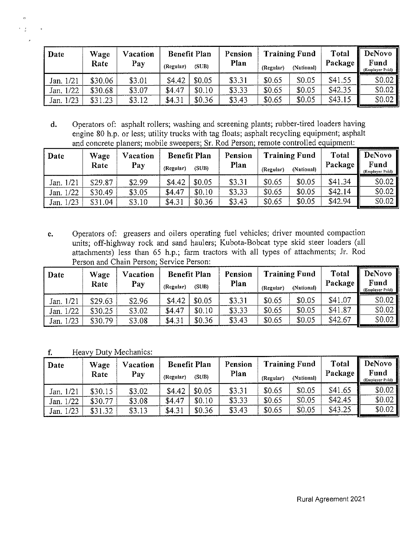| Date      | Wage    | Vacation |           | <b>Benefit Plan</b> | Pension |           | <b>Training Fund</b> | <b>Total</b> | DeNovo                  |
|-----------|---------|----------|-----------|---------------------|---------|-----------|----------------------|--------------|-------------------------|
|           | Rate    | Pay      | (Regular) | (SUB)               | Plan    | (Regular) | (National)           | Package      | Fund<br>(Employer Paid) |
| Jan. 1/21 | \$30.06 | \$3.01   | \$4.42    | \$0.05              | \$3.31  | \$0.65    | \$0.05               | \$41.55      | \$0,02                  |
| Jan. 1/22 | \$30.68 | \$3.07   | \$4.47    | \$0.10              | \$3.33  | \$0.65    | \$0.05               | \$42.35      | \$0.02                  |
| Jan. 1/23 | \$31.23 | \$3.12   | \$4.31    | \$0.36              | \$3.43  | \$0.65    | \$0.05               | \$43.15      | \$0.02                  |

**d.** Operators of: asphalt rollers; washing and screening plants; rubber-tired loaders having engine 80 h.p. or less; utility trucks with tag floats; asphalt recycling equipment; asphalt and concrete planers; mobile sweepers; Sr. Rod Person; remote controlled equipment:

| Date         | Wage<br>Rate | Vacation<br>Pay | <b>Benefit Plan</b><br>(Regular) | (SUB)  | Pension<br>Plan | (Regular) | <b>Training Fund</b><br>(National) | <b>Total</b><br>Package | DeNovo<br>Fund<br>(Employer Paid) |
|--------------|--------------|-----------------|----------------------------------|--------|-----------------|-----------|------------------------------------|-------------------------|-----------------------------------|
| Jan. 1/21    | \$29.87      | \$2.99          | \$4.42                           | \$0.05 | \$3.31          | \$0.65    | \$0.05                             | \$41.34                 | \$0.02                            |
| Jan. 1/22    | \$30.49      | \$3.05          | \$4.47                           | \$0.10 | \$3.33          | \$0.65    | \$0.05                             | \$42.14                 | \$0.02                            |
| 1/23<br>Jan. | \$31.04      | \$3.10          | \$4.31                           | \$0.36 | \$3.43          | \$0.65    | \$0.05                             | \$42.94                 | \$0.02                            |

**e.** Operators of: greasers and oilers operating fuel vehicles; driver mounted compaction units; off-highway rock and sand haulers; Kubota-Bobcat type skid steer loaders (all attachments) less than 65 h.p.; farm tractors with all types of attachments; Jr. Rod Person and Chain Person; Service Person:

| Date         | Wage    | Vacation | <b>Benefit Plan</b> |        | Pension |           | <b>Training Fund</b> | <b>Total</b> | <b>DeNovo</b>           |
|--------------|---------|----------|---------------------|--------|---------|-----------|----------------------|--------------|-------------------------|
|              | Rate    | Pay      | (Regular)           | (SUB)  | Plan    | (Regular) | (National)           | Package      | Fund<br>(Employer Paid) |
| Jan. 1/21    | \$29.63 | \$2.96   | \$4.42              | \$0.05 | \$3.31  | \$0.65    | \$0.05               | \$41.07      | \$0.02                  |
| Jan. 1/22    | \$30.25 | \$3.02   | \$4.47              | \$0.10 | \$3.33  | \$0.65    | \$0.05               | \$41.87      | \$0.02                  |
| 1/23<br>Jan. | \$30.79 | \$3.08   | \$4.31              | \$0.36 | \$3.43  | \$0.65    | \$0.05               | \$42.67      | \$0.02]                 |

**f.** Heavy Duty Mechanics:

 $\bar{t}$ 

| Date      | Wage<br>Rate | Vacation<br>Pay | <b>Benefit Plan</b><br>(Regular) | (SUB)  | Pension<br>Plan | (Regular) | <b>Training Fund</b><br>(National) | <b>Total</b><br>Package | DeNovo<br>Fund<br>(Employer Paid) |
|-----------|--------------|-----------------|----------------------------------|--------|-----------------|-----------|------------------------------------|-------------------------|-----------------------------------|
| Jan. 1/21 | \$30.15      | \$3.02          | \$4.42                           | \$0.05 | \$3.31          | \$0.65    | \$0.05                             | \$41.65                 | \$0.02                            |
| Jan. 1/22 | \$30.77      | \$3.08          | \$4.47                           | \$0.10 | \$3.33          | \$0.65    | \$0.05                             | \$42.45                 | \$0.02\$                          |
| Jan. 1/23 | \$31.32      | \$3.13          | \$4.31                           | \$0.36 | \$3,43          | \$0.65    | \$0.05                             | \$43.25                 | \$0.02                            |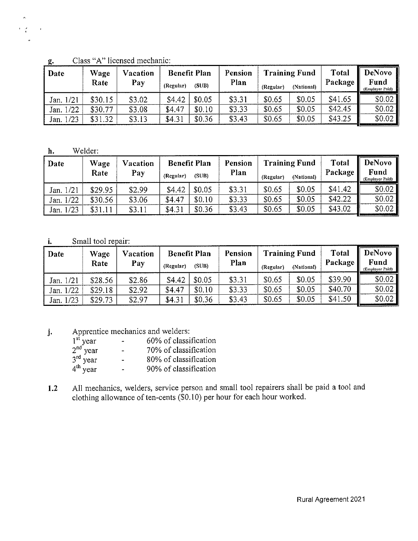| Date         | Wage    | Vacation |           | <b>Benefit Plan</b> | Pension |           | <b>Training Fund</b> | Total   | <b>DeNovo</b>           |
|--------------|---------|----------|-----------|---------------------|---------|-----------|----------------------|---------|-------------------------|
|              | Rate    | Pay      | (Regular) | (SUB)               | Plan    | (Regular) | (National)           | Package | Fund<br>(Employer Paid) |
| Jan. 1/21    | \$30.15 | \$3.02   | \$4.42    | \$0.05              | \$3.31  | \$0.65    | \$0.05               | \$41.65 | \$0.02                  |
| Jan. 1/22    | \$30.77 | \$3.08   | \$4.47    | \$0.10              | \$3.33  | \$0.65    | \$0.05               | \$42.45 | \$0.02]                 |
| 1/23<br>Jan. | \$31.32 | \$3.13   | \$4.31    | \$0.36              | \$3.43  | \$0.65    | \$0.05               | \$43.25 | \$0.02                  |

g. Class "A" licensed mechanic:

**h.** Welder

 $\hat{\mathbf{x}}_i$  $\mathbf{r} = \frac{\partial}{\partial t}$ 

| Date      | Wage<br>Rate | Vacation<br>Pay | (Regular) | <b>Benefit Plan</b><br>(SUB) | Pension<br>Plan | (Regular) | <b>Training Fund</b><br>(National) | <b>Total</b><br>Package | <b>DeNovo</b><br>Fund<br>(Employer Paid) |
|-----------|--------------|-----------------|-----------|------------------------------|-----------------|-----------|------------------------------------|-------------------------|------------------------------------------|
| Jan. 1/21 | \$29.95      | \$2.99          | \$4.42    | \$0.05                       | \$3.31          | \$0.65    | \$0.05                             | \$41,42                 | \$0.02                                   |
| Jan. 1/22 | \$30.56      | \$3.06          | \$4.47    | \$0.10                       | \$3.33          | \$0.65    | \$0.05                             | \$42.22                 | \$0.02                                   |
| Jan. 1/23 | \$31.11      | \$3.11          | \$4.31    | \$0.36                       | \$3.43          | \$0.65    | \$0.05                             | \$43.02                 | \$0.02                                   |

### **i.** Small tool repair:

| Date         | Wage<br>Rate | Vacation<br>Pay | (Regular) | <b>Benefit Plan</b><br>(SUB) | Pension<br>Plan | (Regular) | <b>Training Fund</b><br>(National) | <b>Total</b><br>Package | DeNovo<br>Fund<br>(Employer Paid) |
|--------------|--------------|-----------------|-----------|------------------------------|-----------------|-----------|------------------------------------|-------------------------|-----------------------------------|
| Jan. 1/21    | \$28.56      | \$2.86          | \$4.42    | \$0.05                       | \$3.31          | \$0.65    | \$0.05                             | \$39.90                 | \$0.02                            |
| 1/22<br>Jan. | \$29.18      | \$2.92          | \$4.47    | \$0.10                       | \$3.33          | \$0.65    | \$0.05                             | \$40.70                 | \$0.02                            |
| 1/23<br>Jan. | \$29.73      | \$2.97          | \$4.31    | \$0.36                       | \$3.43          | \$0.65    | \$0.05                             | \$41.50                 | \$0.02                            |

**j.** Apprentice mechanics and welders:

|                          | ۰.                       | 60% of classification |
|--------------------------|--------------------------|-----------------------|
| $1st$ year<br>$2nd$ year | $\blacksquare$           | 70% of classification |
| $3rd$ year               |                          | 80% of classification |
| $4th$ year               | $\overline{\phantom{a}}$ | 90% of classification |

**1.2** All mechanics, welders, service person and small tool repairers shall be paid a tool and clothing allowance of ten-cents (\$0.10) per hour for each hour worked.